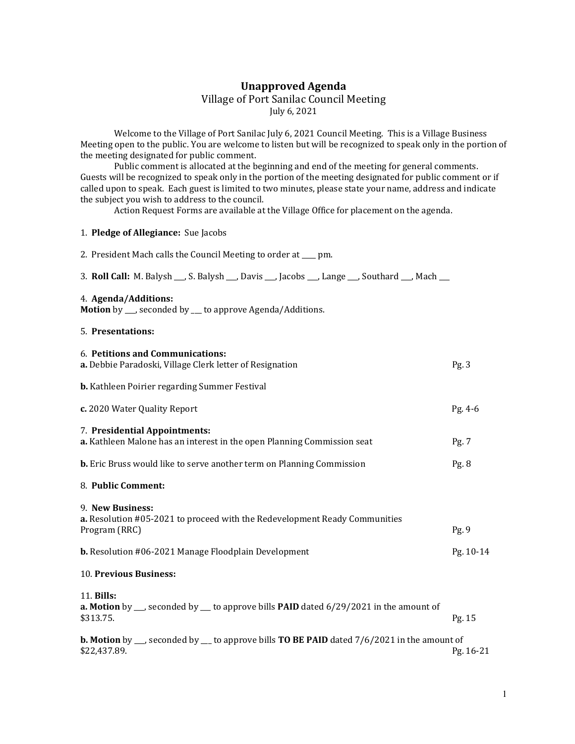## Unapproved Agenda Village of Port Sanilac Council Meeting July 6, 2021

 Welcome to the Village of Port Sanilac July 6, 2021 Council Meeting. This is a Village Business Meeting open to the public. You are welcome to listen but will be recognized to speak only in the portion of the meeting designated for public comment.

 Public comment is allocated at the beginning and end of the meeting for general comments. Guests will be recognized to speak only in the portion of the meeting designated for public comment or if called upon to speak. Each guest is limited to two minutes, please state your name, address and indicate the subject you wish to address to the council.

Action Request Forms are available at the Village Office for placement on the agenda.

## 1. Pledge of Allegiance: Sue Jacobs

| 2. President Mach calls the Council Meeting to order at ___ pm.                                                                        |           |
|----------------------------------------------------------------------------------------------------------------------------------------|-----------|
| 3. Roll Call: M. Balysh , S. Balysh , Davis , Jacobs , Lange , Southard , Mach                                                         |           |
| 4. Agenda/Additions:<br>Motion by __ seconded by __ to approve Agenda/Additions.                                                       |           |
| 5. Presentations:                                                                                                                      |           |
| 6. Petitions and Communications:<br>a. Debbie Paradoski, Village Clerk letter of Resignation                                           | Pg.3      |
| <b>b.</b> Kathleen Poirier regarding Summer Festival                                                                                   |           |
| c. 2020 Water Quality Report                                                                                                           | $Pg. 4-6$ |
| 7. Presidential Appointments:<br>a. Kathleen Malone has an interest in the open Planning Commission seat                               | Pg. 7     |
| <b>b.</b> Eric Bruss would like to serve another term on Planning Commission                                                           | Pg. 8     |
| 8. Public Comment:                                                                                                                     |           |
| 9. New Business:<br>a. Resolution #05-2021 to proceed with the Redevelopment Ready Communities<br>Program (RRC)                        | Pg.9      |
| <b>b.</b> Resolution #06-2021 Manage Floodplain Development                                                                            | Pg. 10-14 |
| 10. Previous Business:                                                                                                                 |           |
| 11. Bills:<br><b>a. Motion</b> by $\_\_$ seconded by $\_\_$ to approve bills <b>PAID</b> dated 6/29/2021 in the amount of<br>\$313.75. | Pg. 15    |
| <b>b.</b> Motion by $\_\_$ seconded by $\_\_$ to approve bills <b>TO BE PAID</b> dated $7/6/2021$ in the amount of<br>\$22,437.89.     | Pg. 16-21 |